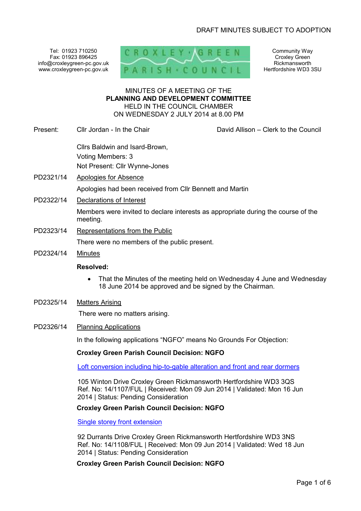# DRAFT MINUTES SUBJECT TO ADOPTION

Tel: 01923 710250 Fax: 01923 896425 info@croxleygreen-pc.gov.uk www.croxleygreen-pc.gov.uk



Community Way Croxley Green Rickmansworth Hertfordshire WD3 3SU

### MINUTES OF A MEETING OF THE **PLANNING AND DEVELOPMENT COMMITTEE** HELD IN THE COUNCIL CHAMBER ON WEDNESDAY 2 JULY 2014 at 8.00 PM

Present: Cllr Jordan - In the Chair Chair David Allison – Clerk to the Council

Cllrs Baldwin and Isard-Brown, Voting Members: 3 Not Present: Cllr Wynne-Jones

- PD2321/14 Apologies for Absence Apologies had been received from Cllr Bennett and Martin
- PD2322/14 Declarations of Interest

Members were invited to declare interests as appropriate during the course of the meeting.

PD2323/14 Representations from the Public

There were no members of the public present.

PD2324/14 Minutes

#### **Resolved:**

- That the Minutes of the meeting held on Wednesday 4 June and Wednesday 18 June 2014 be approved and be signed by the Chairman.
- PD2325/14 Matters Arising

There were no matters arising.

PD2326/14 Planning Applications

In the following applications "NGFO" means No Grounds For Objection:

## **Croxley Green Parish Council Decision: NGFO**

Loft conversion including hip-to-gable alteration and front and rear dormers

105 Winton Drive Croxley Green Rickmansworth Hertfordshire WD3 3QS Ref. No: 14/1107/FUL | Received: Mon 09 Jun 2014 | Validated: Mon 16 Jun 2014 | Status: Pending Consideration

## **Croxley Green Parish Council Decision: NGFO**

Single storey front extension

92 Durrants Drive Croxley Green Rickmansworth Hertfordshire WD3 3NS Ref. No: 14/1108/FUL | Received: Mon 09 Jun 2014 | Validated: Wed 18 Jun 2014 | Status: Pending Consideration

**Croxley Green Parish Council Decision: NGFO**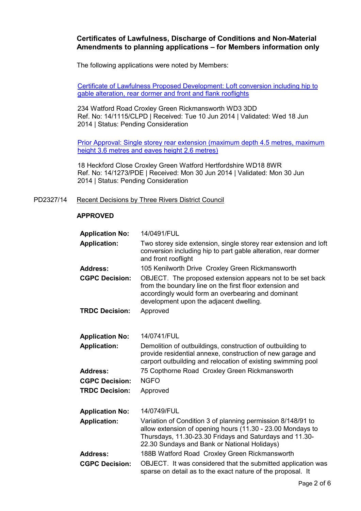# **Certificates of Lawfulness, Discharge of Conditions and Non-Material Amendments to planning applications – for Members information only**

The following applications were noted by Members:

Certificate of Lawfulness Proposed Development: Loft conversion including hip to gable alteration, rear dormer and front and flank rooflights

234 Watford Road Croxley Green Rickmansworth WD3 3DD Ref. No: 14/1115/CLPD | Received: Tue 10 Jun 2014 | Validated: Wed 18 Jun 2014 | Status: Pending Consideration

Prior Approval: Single storey rear extension (maximum depth 4.5 metres, maximum height 3.6 metres and eaves height 2.6 metres)

18 Heckford Close Croxley Green Watford Hertfordshire WD18 8WR Ref. No: 14/1273/PDE | Received: Mon 30 Jun 2014 | Validated: Mon 30 Jun 2014 | Status: Pending Consideration

PD2327/14 Recent Decisions by Three Rivers District Council

### **APPROVED**

| <b>Application No:</b> | 14/0491/FUL                                                                                                                                                                                                                          |
|------------------------|--------------------------------------------------------------------------------------------------------------------------------------------------------------------------------------------------------------------------------------|
| <b>Application:</b>    | Two storey side extension, single storey rear extension and loft<br>conversion including hip to part gable alteration, rear dormer<br>and front rooflight                                                                            |
| <b>Address:</b>        | 105 Kenilworth Drive Croxley Green Rickmansworth                                                                                                                                                                                     |
| <b>CGPC Decision:</b>  | OBJECT. The proposed extension appears not to be set back<br>from the boundary line on the first floor extension and<br>accordingly would form an overbearing and dominant<br>development upon the adjacent dwelling.                |
| <b>TRDC Decision:</b>  | Approved                                                                                                                                                                                                                             |
|                        |                                                                                                                                                                                                                                      |
| <b>Application No:</b> | 14/0741/FUL                                                                                                                                                                                                                          |
| <b>Application:</b>    | Demolition of outbuildings, construction of outbuilding to<br>provide residential annexe, construction of new garage and<br>carport outbuilding and relocation of existing swimming pool                                             |
| <b>Address:</b>        | 75 Copthorne Road Croxley Green Rickmansworth                                                                                                                                                                                        |
| <b>CGPC Decision:</b>  | <b>NGFO</b>                                                                                                                                                                                                                          |
| <b>TRDC Decision:</b>  | Approved                                                                                                                                                                                                                             |
| <b>Application No:</b> | 14/0749/FUL                                                                                                                                                                                                                          |
|                        |                                                                                                                                                                                                                                      |
| <b>Application:</b>    | Variation of Condition 3 of planning permission 8/148/91 to<br>allow extension of opening hours (11.30 - 23.00 Mondays to<br>Thursdays, 11.30-23.30 Fridays and Saturdays and 11.30-<br>22.30 Sundays and Bank or National Holidays) |
| <b>Address:</b>        | 188B Watford Road Croxley Green Rickmansworth                                                                                                                                                                                        |
| <b>CGPC Decision:</b>  | OBJECT. It was considered that the submitted application was<br>sparse on detail as to the exact nature of the proposal. It                                                                                                          |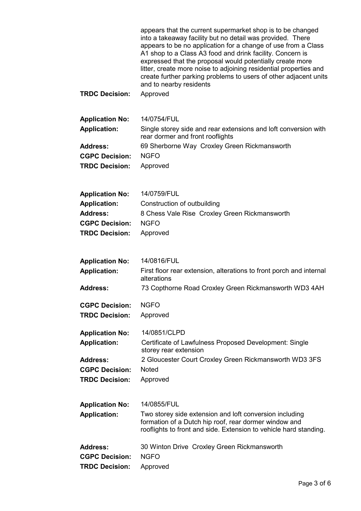|                                                | appears that the current supermarket shop is to be changed<br>into a takeaway facility but no detail was provided. There<br>appears to be no application for a change of use from a Class<br>A1 shop to a Class A3 food and drink facility. Concern is<br>expressed that the proposal would potentially create more<br>litter, create more noise to adjoining residential properties and<br>create further parking problems to users of other adjacent units<br>and to nearby residents |
|------------------------------------------------|-----------------------------------------------------------------------------------------------------------------------------------------------------------------------------------------------------------------------------------------------------------------------------------------------------------------------------------------------------------------------------------------------------------------------------------------------------------------------------------------|
| <b>TRDC Decision:</b>                          | Approved                                                                                                                                                                                                                                                                                                                                                                                                                                                                                |
| <b>Application No:</b>                         | 14/0754/FUL                                                                                                                                                                                                                                                                                                                                                                                                                                                                             |
| <b>Application:</b>                            | Single storey side and rear extensions and loft conversion with<br>rear dormer and front rooflights                                                                                                                                                                                                                                                                                                                                                                                     |
| <b>Address:</b>                                | 69 Sherborne Way Croxley Green Rickmansworth                                                                                                                                                                                                                                                                                                                                                                                                                                            |
| <b>CGPC Decision:</b><br><b>TRDC Decision:</b> | <b>NGFO</b><br>Approved                                                                                                                                                                                                                                                                                                                                                                                                                                                                 |
|                                                |                                                                                                                                                                                                                                                                                                                                                                                                                                                                                         |
| <b>Application No:</b>                         | 14/0759/FUL                                                                                                                                                                                                                                                                                                                                                                                                                                                                             |
| <b>Application:</b><br><b>Address:</b>         | Construction of outbuilding<br>8 Chess Vale Rise Croxley Green Rickmansworth                                                                                                                                                                                                                                                                                                                                                                                                            |
| <b>CGPC Decision:</b>                          | <b>NGFO</b>                                                                                                                                                                                                                                                                                                                                                                                                                                                                             |
| <b>TRDC Decision:</b>                          | Approved                                                                                                                                                                                                                                                                                                                                                                                                                                                                                |
|                                                |                                                                                                                                                                                                                                                                                                                                                                                                                                                                                         |
| <b>Application No:</b>                         | 14/0816/FUL                                                                                                                                                                                                                                                                                                                                                                                                                                                                             |
|                                                |                                                                                                                                                                                                                                                                                                                                                                                                                                                                                         |
| <b>Application:</b>                            | First floor rear extension, alterations to front porch and internal<br>alterations                                                                                                                                                                                                                                                                                                                                                                                                      |
| <b>Address:</b>                                | 73 Copthorne Road Croxley Green Rickmansworth WD3 4AH                                                                                                                                                                                                                                                                                                                                                                                                                                   |
| <b>CGPC Decision:</b>                          | <b>NGFO</b>                                                                                                                                                                                                                                                                                                                                                                                                                                                                             |
| <b>TRDC Decision:</b>                          | Approved                                                                                                                                                                                                                                                                                                                                                                                                                                                                                |
| <b>Application No:</b>                         | 14/0851/CLPD                                                                                                                                                                                                                                                                                                                                                                                                                                                                            |
| <b>Application:</b>                            | Certificate of Lawfulness Proposed Development: Single<br>storey rear extension                                                                                                                                                                                                                                                                                                                                                                                                         |
| <b>Address:</b>                                | 2 Gloucester Court Croxley Green Rickmansworth WD3 3FS                                                                                                                                                                                                                                                                                                                                                                                                                                  |
| <b>CGPC Decision:</b>                          | <b>Noted</b>                                                                                                                                                                                                                                                                                                                                                                                                                                                                            |
| <b>TRDC Decision:</b>                          | Approved                                                                                                                                                                                                                                                                                                                                                                                                                                                                                |
| <b>Application No:</b>                         | 14/0855/FUL                                                                                                                                                                                                                                                                                                                                                                                                                                                                             |
| <b>Application:</b>                            | Two storey side extension and loft conversion including                                                                                                                                                                                                                                                                                                                                                                                                                                 |
|                                                | formation of a Dutch hip roof, rear dormer window and<br>rooflights to front and side. Extension to vehicle hard standing.                                                                                                                                                                                                                                                                                                                                                              |
| <b>Address:</b>                                | 30 Winton Drive Croxley Green Rickmansworth                                                                                                                                                                                                                                                                                                                                                                                                                                             |
| <b>CGPC Decision:</b>                          | <b>NGFO</b>                                                                                                                                                                                                                                                                                                                                                                                                                                                                             |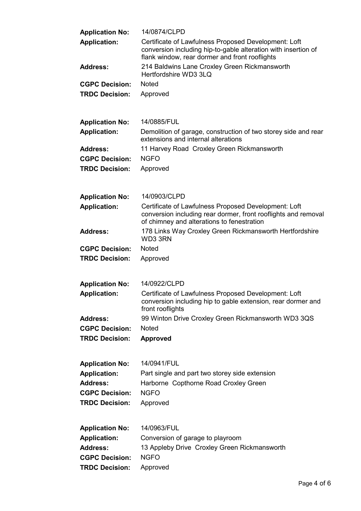| <b>Application No:</b> | 14/0874/CLPD                                                                                                                                                             |
|------------------------|--------------------------------------------------------------------------------------------------------------------------------------------------------------------------|
| <b>Application:</b>    | Certificate of Lawfulness Proposed Development: Loft<br>conversion including hip-to-gable alteration with insertion of<br>flank window, rear dormer and front rooflights |
| <b>Address:</b>        | 214 Baldwins Lane Croxley Green Rickmansworth<br>Hertfordshire WD3 3LQ                                                                                                   |
| <b>CGPC Decision:</b>  | <b>Noted</b>                                                                                                                                                             |
| <b>TRDC Decision:</b>  | Approved                                                                                                                                                                 |
| <b>Application No:</b> | 14/0885/FUL                                                                                                                                                              |
| <b>Application:</b>    | Demolition of garage, construction of two storey side and rear<br>extensions and internal alterations                                                                    |
| <b>Address:</b>        | 11 Harvey Road Croxley Green Rickmansworth                                                                                                                               |
| <b>CGPC Decision:</b>  | <b>NGFO</b>                                                                                                                                                              |
| <b>TRDC Decision:</b>  | Approved                                                                                                                                                                 |
| <b>Application No:</b> | 14/0903/CLPD                                                                                                                                                             |
| <b>Application:</b>    | Certificate of Lawfulness Proposed Development: Loft<br>conversion including rear dormer, front rooflights and removal<br>of chimney and alterations to fenestration     |
| <b>Address:</b>        | 178 Links Way Croxley Green Rickmansworth Hertfordshire<br>WD3 3RN                                                                                                       |
| <b>CGPC Decision:</b>  | <b>Noted</b>                                                                                                                                                             |
| <b>TRDC Decision:</b>  | Approved                                                                                                                                                                 |
| <b>Application No:</b> | 14/0922/CLPD                                                                                                                                                             |
| <b>Application:</b>    | Certificate of Lawfulness Proposed Development: Loft<br>conversion including hip to gable extension, rear dormer and<br>front rooflights                                 |
| <b>Address:</b>        | 99 Winton Drive Croxley Green Rickmansworth WD3 3QS                                                                                                                      |
| <b>CGPC Decision:</b>  | <b>Noted</b>                                                                                                                                                             |
| <b>TRDC Decision:</b>  | <b>Approved</b>                                                                                                                                                          |
| <b>Application No:</b> | 14/0941/FUL                                                                                                                                                              |
| <b>Application:</b>    | Part single and part two storey side extension                                                                                                                           |
| <b>Address:</b>        | Harborne Copthorne Road Croxley Green                                                                                                                                    |
| <b>CGPC Decision:</b>  | <b>NGFO</b>                                                                                                                                                              |
| <b>TRDC Decision:</b>  | Approved                                                                                                                                                                 |
| <b>Application No:</b> | 14/0963/FUL                                                                                                                                                              |
| <b>Application:</b>    | Conversion of garage to playroom                                                                                                                                         |
| <b>Address:</b>        | 13 Appleby Drive Croxley Green Rickmansworth                                                                                                                             |
| <b>CGPC Decision:</b>  | <b>NGFO</b>                                                                                                                                                              |
| <b>TRDC Decision:</b>  | Approved                                                                                                                                                                 |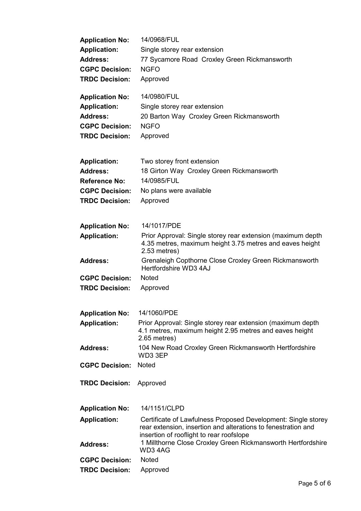| <b>Application No:</b><br><b>Application:</b><br><b>Address:</b><br><b>CGPC Decision:</b><br><b>TRDC Decision:</b> | 14/0968/FUL<br>Single storey rear extension<br>77 Sycamore Road Croxley Green Rickmansworth<br><b>NGFO</b><br>Approved                                                     |
|--------------------------------------------------------------------------------------------------------------------|----------------------------------------------------------------------------------------------------------------------------------------------------------------------------|
| <b>Application No:</b><br><b>Application:</b><br><b>Address:</b><br><b>CGPC Decision:</b><br><b>TRDC Decision:</b> | 14/0980/FUL<br>Single storey rear extension<br>20 Barton Way Croxley Green Rickmansworth<br><b>NGFO</b><br>Approved                                                        |
| <b>Application:</b><br><b>Address:</b><br><b>Reference No:</b><br><b>CGPC Decision:</b><br><b>TRDC Decision:</b>   | Two storey front extension<br>18 Girton Way Croxley Green Rickmansworth<br>14/0985/FUL<br>No plans were available<br>Approved                                              |
| <b>Application No:</b><br><b>Application:</b>                                                                      | 14/1017/PDE<br>Prior Approval: Single storey rear extension (maximum depth<br>4.35 metres, maximum height 3.75 metres and eaves height<br>2.53 metres)                     |
| <b>Address:</b>                                                                                                    | Grenaleigh Copthorne Close Croxley Green Rickmansworth<br>Hertfordshire WD3 4AJ                                                                                            |
| <b>CGPC Decision:</b><br><b>TRDC Decision:</b>                                                                     | <b>Noted</b><br>Approved                                                                                                                                                   |
| <b>Application No:</b>                                                                                             | 14/1060/PDE                                                                                                                                                                |
| <b>Application:</b>                                                                                                | Prior Approval: Single storey rear extension (maximum depth<br>4.1 metres, maximum height 2.95 metres and eaves height<br>2.65 metres)                                     |
| <b>Address:</b>                                                                                                    | 104 New Road Croxley Green Rickmansworth Hertfordshire<br>WD3 3EP                                                                                                          |
| <b>CGPC Decision:</b>                                                                                              | <b>Noted</b>                                                                                                                                                               |
| <b>TRDC Decision:</b>                                                                                              | Approved                                                                                                                                                                   |
| <b>Application No:</b>                                                                                             | 14/1151/CLPD                                                                                                                                                               |
| <b>Application:</b>                                                                                                | Certificate of Lawfulness Proposed Development: Single storey<br>rear extension, insertion and alterations to fenestration and<br>insertion of rooflight to rear roofslope |
| <b>Address:</b>                                                                                                    | 1 Millthorne Close Croxley Green Rickmansworth Hertfordshire<br>WD34AG                                                                                                     |
| <b>CGPC Decision:</b>                                                                                              | <b>Noted</b>                                                                                                                                                               |
| <b>TRDC Decision:</b>                                                                                              | Approved                                                                                                                                                                   |